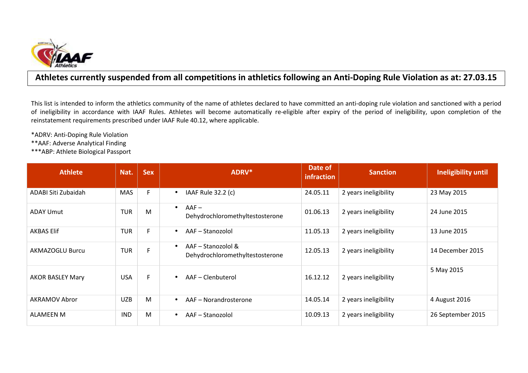

## **Athletes currently suspended from all competitions in athletics following an Anti-Doping Rule Violation as at: 27.03.15**

This list is intended to inform the athletics community of the name of athletes declared to have committed an anti-doping rule violation and sanctioned with a period of ineligibility in accordance with IAAF Rules. Athletes will become automatically re-eligible after expiry of the period of ineligibility, upon completion of the reinstatement requirements prescribed under IAAF Rule 40.12, where applicable.

\*ADRV: Anti-Doping Rule Violation

\*\*AAF: Adverse Analytical Finding

\*\*\*ABP: Athlete Biological Passport

| <b>Athlete</b>          | Nat.       | <b>Sex</b> | ADRV*                                                              | Date of<br>infraction | <b>Sanction</b>       | Ineligibility until |
|-------------------------|------------|------------|--------------------------------------------------------------------|-----------------------|-----------------------|---------------------|
| ADABI Siti Zubaidah     | <b>MAS</b> | F.         | IAAF Rule 32.2 (c)<br>$\bullet$                                    | 24.05.11              | 2 years ineligibility | 23 May 2015         |
| ADAY Umut               | <b>TUR</b> | M          | $AAF -$<br>$\bullet$<br>Dehydrochloromethyltestosterone            | 01.06.13              | 2 years ineligibility | 24 June 2015        |
| <b>AKBAS Elif</b>       | <b>TUR</b> | F.         | AAF-Stanozolol<br>$\bullet$                                        | 11.05.13              | 2 years ineligibility | 13 June 2015        |
| <b>AKMAZOGLU Burcu</b>  | <b>TUR</b> | F          | AAF - Stanozolol &<br>$\bullet$<br>Dehydrochloromethyltestosterone | 12.05.13              | 2 years ineligibility | 14 December 2015    |
| <b>AKOR BASLEY Mary</b> | <b>USA</b> | F.         | AAF - Clenbuterol<br>$\bullet$                                     | 16.12.12              | 2 years ineligibility | 5 May 2015          |
| <b>AKRAMOV Abror</b>    | <b>UZB</b> | M          | AAF - Norandrosterone<br>$\bullet$                                 | 14.05.14              | 2 years ineligibility | 4 August 2016       |
| ALAMEEN M               | <b>IND</b> | M          | AAF - Stanozolol<br>$\bullet$                                      | 10.09.13              | 2 years ineligibility | 26 September 2015   |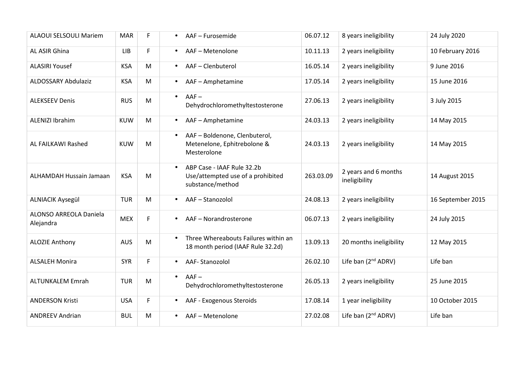| <b>ALAOUI SELSOULI Mariem</b>       | <b>MAR</b> | F. | AAF - Furosemide<br>$\bullet$                                                                    | 06.07.12  | 8 years ineligibility                 | 24 July 2020      |
|-------------------------------------|------------|----|--------------------------------------------------------------------------------------------------|-----------|---------------------------------------|-------------------|
| AL ASIR Ghina                       | <b>LIB</b> | F  | AAF-Metenolone<br>$\bullet$                                                                      | 10.11.13  | 2 years ineligibility                 | 10 February 2016  |
| <b>ALASIRI Yousef</b>               | <b>KSA</b> | M  | AAF - Clenbuterol<br>$\bullet$                                                                   | 16.05.14  | 2 years ineligibility                 | 9 June 2016       |
| <b>ALDOSSARY Abdulaziz</b>          | <b>KSA</b> | M  | AAF - Amphetamine<br>$\bullet$                                                                   | 17.05.14  | 2 years ineligibility                 | 15 June 2016      |
| <b>ALEKSEEV Denis</b>               | <b>RUS</b> | M  | $AAF -$<br>$\bullet$<br>Dehydrochloromethyltestosterone                                          | 27.06.13  | 2 years ineligibility                 | 3 July 2015       |
| <b>ALENIZI Ibrahim</b>              | <b>KUW</b> | M  | AAF - Amphetamine<br>$\bullet$                                                                   | 24.03.13  | 2 years ineligibility                 | 14 May 2015       |
| AL FAILKAWI Rashed                  | <b>KUW</b> | M  | AAF - Boldenone, Clenbuterol,<br>$\bullet$<br>Metenelone, Ephitrebolone &<br>Mesterolone         | 24.03.13  | 2 years ineligibility                 | 14 May 2015       |
| ALHAMDAH Hussain Jamaan             | <b>KSA</b> | M  | ABP Case - IAAF Rule 32.2b<br>$\bullet$<br>Use/attempted use of a prohibited<br>substance/method | 263.03.09 | 2 years and 6 months<br>ineligibility | 14 August 2015    |
| <b>ALNIACIK Aysegül</b>             | <b>TUR</b> | M  | AAF-Stanozolol<br>$\bullet$                                                                      | 24.08.13  | 2 years ineligibility                 | 16 September 2015 |
| ALONSO ARREOLA Daniela<br>Alejandra | <b>MEX</b> | F. | AAF - Norandrosterone<br>$\bullet$                                                               | 06.07.13  | 2 years ineligibility                 | 24 July 2015      |
| <b>ALOZIE Anthony</b>               | <b>AUS</b> | M  | Three Whereabouts Failures within an<br>18 month period (IAAF Rule 32.2d)                        | 13.09.13  | 20 months ineligibility               | 12 May 2015       |
| <b>ALSALEH Monira</b>               | <b>SYR</b> | F  | AAF-Stanozolol<br>$\bullet$                                                                      | 26.02.10  | Life ban (2 <sup>nd</sup> ADRV)       | Life ban          |
| <b>ALTUNKALEM Emrah</b>             | <b>TUR</b> | M  | $AAF -$<br>$\bullet$<br>Dehydrochloromethyltestosterone                                          | 26.05.13  | 2 years ineligibility                 | 25 June 2015      |
| <b>ANDERSON Kristi</b>              | <b>USA</b> | F  | AAF - Exogenous Steroids<br>$\bullet$                                                            | 17.08.14  | 1 year ineligibility                  | 10 October 2015   |
| <b>ANDREEV Andrian</b>              | <b>BUL</b> | M  | AAF - Metenolone<br>$\bullet$                                                                    | 27.02.08  | Life ban $(2^{nd}$ ADRV)              | Life ban          |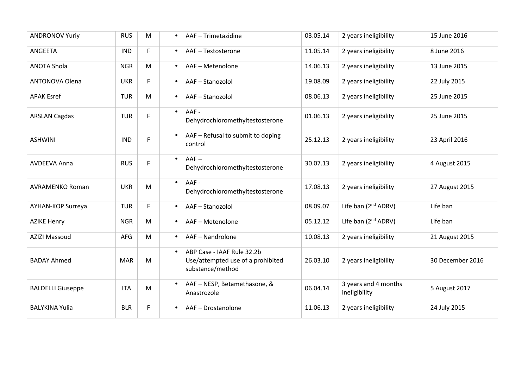| <b>ANDRONOV Yuriy</b>    | <b>RUS</b> | M  | AAF - Trimetazidine<br>$\bullet$                                                                 | 03.05.14 | 2 years ineligibility                 | 15 June 2016     |
|--------------------------|------------|----|--------------------------------------------------------------------------------------------------|----------|---------------------------------------|------------------|
| ANGEETA                  | <b>IND</b> | F. | AAF - Testosterone<br>$\bullet$                                                                  | 11.05.14 | 2 years ineligibility                 | 8 June 2016      |
| <b>ANOTA Shola</b>       | <b>NGR</b> | M  | AAF - Metenolone<br>$\bullet$                                                                    | 14.06.13 | 2 years ineligibility                 | 13 June 2015     |
| <b>ANTONOVA Olena</b>    | <b>UKR</b> | F  | AAF-Stanozolol<br>$\bullet$                                                                      | 19.08.09 | 2 years ineligibility                 | 22 July 2015     |
| <b>APAK Esref</b>        | <b>TUR</b> | M  | AAF-Stanozolol<br>$\bullet$                                                                      | 08.06.13 | 2 years ineligibility                 | 25 June 2015     |
| <b>ARSLAN Cagdas</b>     | <b>TUR</b> | F. | AAF-<br>$\bullet$<br>Dehydrochloromethyltestosterone                                             | 01.06.13 | 2 years ineligibility                 | 25 June 2015     |
| <b>ASHWINI</b>           | <b>IND</b> | F. | AAF - Refusal to submit to doping<br>$\bullet$<br>control                                        | 25.12.13 | 2 years ineligibility                 | 23 April 2016    |
| <b>AVDEEVA Anna</b>      | <b>RUS</b> | F  | $AAF -$<br>$\bullet$<br>Dehydrochloromethyltestosterone                                          | 30.07.13 | 2 years ineligibility                 | 4 August 2015    |
| <b>AVRAMENKO Roman</b>   | <b>UKR</b> | M  | AAF-<br>$\bullet$<br>Dehydrochloromethyltestosterone                                             | 17.08.13 | 2 years ineligibility                 | 27 August 2015   |
| AYHAN-KOP Surreya        | <b>TUR</b> | F. | AAF-Stanozolol<br>$\bullet$                                                                      | 08.09.07 | Life ban $(2^{nd}$ ADRV)              | Life ban         |
| <b>AZIKE Henry</b>       | <b>NGR</b> | M  | AAF - Metenolone<br>$\bullet$                                                                    | 05.12.12 | Life ban (2 <sup>nd</sup> ADRV)       | Life ban         |
| <b>AZIZI Massoud</b>     | <b>AFG</b> | M  | AAF - Nandrolone<br>$\bullet$                                                                    | 10.08.13 | 2 years ineligibility                 | 21 August 2015   |
| <b>BADAY Ahmed</b>       | <b>MAR</b> | M  | ABP Case - IAAF Rule 32.2b<br>$\bullet$<br>Use/attempted use of a prohibited<br>substance/method | 26.03.10 | 2 years ineligibility                 | 30 December 2016 |
| <b>BALDELLI Giuseppe</b> | <b>ITA</b> | M  | AAF - NESP, Betamethasone, &<br>Anastrozole                                                      | 06.04.14 | 3 years and 4 months<br>ineligibility | 5 August 2017    |
| <b>BALYKINA Yulia</b>    | <b>BLR</b> | F  | AAF-Drostanolone<br>$\bullet$                                                                    | 11.06.13 | 2 years ineligibility                 | 24 July 2015     |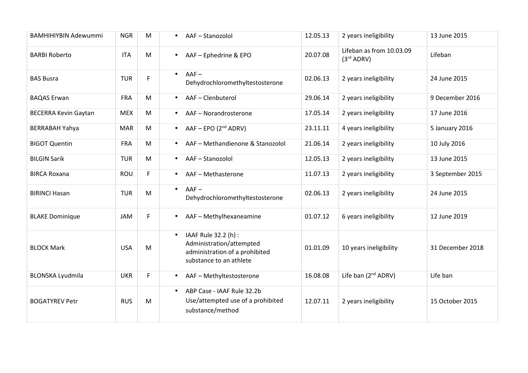| <b>BAMHIHIYBIN Adewummi</b> | <b>NGR</b> | M                                                                                     | AAF-Stanozolol                                                                                                             | 12.05.13 | 2 years ineligibility                              | 13 June 2015     |
|-----------------------------|------------|---------------------------------------------------------------------------------------|----------------------------------------------------------------------------------------------------------------------------|----------|----------------------------------------------------|------------------|
| <b>BARBI Roberto</b>        | <b>ITA</b> | M                                                                                     | AAF - Ephedrine & EPO<br>$\bullet$                                                                                         | 20.07.08 | Lifeban as from 10.03.09<br>(3 <sup>rd</sup> ADRV) | Lifeban          |
| <b>BAS Busra</b>            | <b>TUR</b> | F                                                                                     | $AAF -$<br>$\bullet$<br>Dehydrochloromethyltestosterone                                                                    | 02.06.13 | 2 years ineligibility                              | 24 June 2015     |
| <b>BAQAS Erwan</b>          | <b>FRA</b> | M                                                                                     | AAF-Clenbuterol<br>$\bullet$                                                                                               | 29.06.14 | 2 years ineligibility                              | 9 December 2016  |
| <b>BECERRA Kevin Gaytan</b> | <b>MEX</b> | M                                                                                     | AAF-Norandrosterone<br>$\bullet$                                                                                           | 17.05.14 | 2 years ineligibility                              | 17 June 2016     |
| <b>BERRABAH Yahya</b>       | <b>MAR</b> | M                                                                                     | $AAF - EPO (2nd ADRV)$<br>$\bullet$                                                                                        | 23.11.11 | 4 years ineligibility                              | 5 January 2016   |
| <b>BIGOT Quentin</b>        | <b>FRA</b> | M                                                                                     | AAF - Methandienone & Stanozolol<br>$\bullet$                                                                              | 21.06.14 | 2 years ineligibility                              | 10 July 2016     |
| <b>BILGIN Sarik</b>         | <b>TUR</b> | M                                                                                     | AAF-Stanozolol<br>$\bullet$                                                                                                | 12.05.13 | 2 years ineligibility                              | 13 June 2015     |
| <b>BIRCA Roxana</b>         | ROU        | F                                                                                     | AAF - Methasterone<br>$\bullet$                                                                                            | 11.07.13 | 2 years ineligibility                              | 3 September 2015 |
| <b>BIRINCI Hasan</b>        | <b>TUR</b> | $\mathsf{M}% _{T}=\mathsf{M}_{T}\!\left( a,b\right) ,\ \mathsf{M}_{T}=\mathsf{M}_{T}$ | $AAF -$<br>$\bullet$<br>Dehydrochloromethyltestosterone                                                                    | 02.06.13 | 2 years ineligibility                              | 24 June 2015     |
| <b>BLAKE Dominique</b>      | JAM        | F                                                                                     | AAF - Methylhexaneamine<br>$\bullet$                                                                                       | 01.07.12 | 6 years ineligibility                              | 12 June 2019     |
| <b>BLOCK Mark</b>           | <b>USA</b> | M                                                                                     | IAAF Rule 32.2 (h) :<br>$\bullet$<br>Administration/attempted<br>administration of a prohibited<br>substance to an athlete | 01.01.09 | 10 years ineligibility                             | 31 December 2018 |
| <b>BLONSKA Lyudmila</b>     | <b>UKR</b> | F                                                                                     | AAF - Methyltestosterone<br>$\bullet$                                                                                      | 16.08.08 | Life ban (2 <sup>nd</sup> ADRV)                    | Life ban         |
| <b>BOGATYREV Petr</b>       | <b>RUS</b> | M                                                                                     | ABP Case - IAAF Rule 32.2b<br>$\bullet$<br>Use/attempted use of a prohibited<br>substance/method                           | 12.07.11 | 2 years ineligibility                              | 15 October 2015  |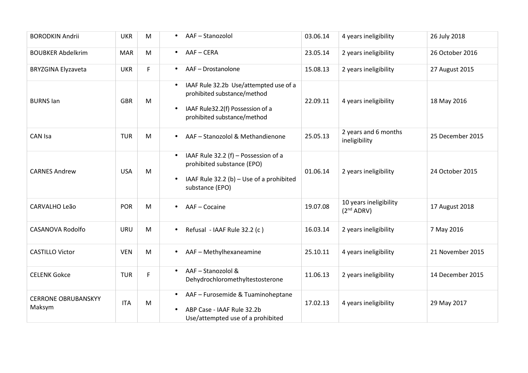| <b>BORODKIN Andrii</b>               | <b>UKR</b> | M | AAF-Stanozolol<br>$\bullet$                                                                                                                                        | 03.06.14 | 4 years ineligibility                            | 26 July 2018     |
|--------------------------------------|------------|---|--------------------------------------------------------------------------------------------------------------------------------------------------------------------|----------|--------------------------------------------------|------------------|
| <b>BOUBKER Abdelkrim</b>             | <b>MAR</b> | M | AAF-CERA<br>$\bullet$                                                                                                                                              | 23.05.14 | 2 years ineligibility                            | 26 October 2016  |
| <b>BRYZGINA Elyzaveta</b>            | <b>UKR</b> | F | AAF-Drostanolone<br>$\bullet$                                                                                                                                      | 15.08.13 | 2 years ineligibility                            | 27 August 2015   |
| <b>BURNS lan</b>                     | <b>GBR</b> | M | IAAF Rule 32.2b Use/attempted use of a<br>$\bullet$<br>prohibited substance/method<br>IAAF Rule32.2(f) Possession of a<br>$\bullet$<br>prohibited substance/method | 22.09.11 | 4 years ineligibility                            | 18 May 2016      |
| CAN Isa                              | <b>TUR</b> | M | AAF - Stanozolol & Methandienone<br>$\bullet$                                                                                                                      | 25.05.13 | 2 years and 6 months<br>ineligibility            | 25 December 2015 |
| <b>CARNES Andrew</b>                 | <b>USA</b> | M | IAAF Rule 32.2 (f) - Possession of a<br>$\bullet$<br>prohibited substance (EPO)<br>IAAF Rule 32.2 (b) - Use of a prohibited<br>$\bullet$<br>substance (EPO)        | 01.06.14 | 2 years ineligibility                            | 24 October 2015  |
| CARVALHO Leão                        | <b>POR</b> | M | AAF - Cocaine                                                                                                                                                      | 19.07.08 | 10 years ineligibility<br>(2 <sup>nd</sup> ADRV) | 17 August 2018   |
| <b>CASANOVA Rodolfo</b>              | <b>URU</b> | M | Refusal - IAAF Rule 32.2 (c)<br>$\bullet$                                                                                                                          | 16.03.14 | 2 years ineligibility                            | 7 May 2016       |
| <b>CASTILLO Victor</b>               | <b>VEN</b> | M | AAF - Methylhexaneamine<br>$\bullet$                                                                                                                               | 25.10.11 | 4 years ineligibility                            | 21 November 2015 |
| <b>CELENK Gokce</b>                  | <b>TUR</b> | F | AAF - Stanozolol &<br>$\bullet$<br>Dehydrochloromethyltestosterone                                                                                                 | 11.06.13 | 2 years ineligibility                            | 14 December 2015 |
| <b>CERRONE OBRUBANSKYY</b><br>Maksym | <b>ITA</b> | M | AAF - Furosemide & Tuaminoheptane<br>ABP Case - IAAF Rule 32.2b<br>Use/attempted use of a prohibited                                                               | 17.02.13 | 4 years ineligibility                            | 29 May 2017      |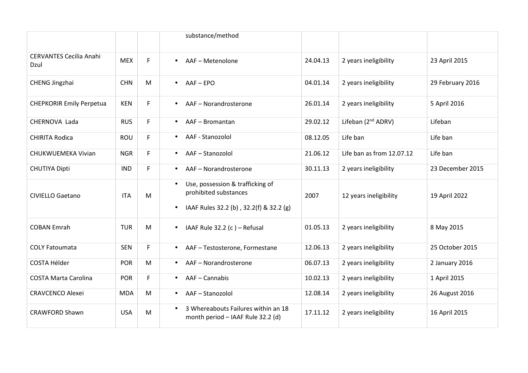|                                        |            |    | substance/method                                                                                                               |          |                                |                  |
|----------------------------------------|------------|----|--------------------------------------------------------------------------------------------------------------------------------|----------|--------------------------------|------------------|
| <b>CERVANTES Cecilia Anahi</b><br>Dzul | <b>MEX</b> | F. | AAF - Metenolone<br>$\bullet$                                                                                                  | 24.04.13 | 2 years ineligibility          | 23 April 2015    |
| CHENG Jingzhai                         | <b>CHN</b> | M  | $AAF - FPO$<br>$\bullet$                                                                                                       | 04.01.14 | 2 years ineligibility          | 29 February 2016 |
| <b>CHEPKORIR Emily Perpetua</b>        | <b>KEN</b> | F. | AAF - Norandrosterone<br>$\bullet$                                                                                             | 26.01.14 | 2 years ineligibility          | 5 April 2016     |
| CHERNOVA Lada                          | <b>RUS</b> | F. | AAF - Bromantan<br>$\bullet$                                                                                                   | 29.02.12 | Lifeban (2 <sup>nd</sup> ADRV) | Lifeban          |
| <b>CHIRITA Rodica</b>                  | <b>ROU</b> | F. | AAF - Stanozolol<br>$\bullet$                                                                                                  | 08.12.05 | Life ban                       | Life ban         |
| CHUKWUEMEKA Vivian                     | <b>NGR</b> | F  | AAF-Stanozolol<br>$\bullet$                                                                                                    | 21.06.12 | Life ban as from 12.07.12      | Life ban         |
| <b>CHUTIYA Dipti</b>                   | <b>IND</b> | F. | AAF - Norandrosterone<br>$\bullet$                                                                                             | 30.11.13 | 2 years ineligibility          | 23 December 2015 |
| <b>CIVIELLO Gaetano</b>                | <b>ITA</b> | M  | Use, possession & trafficking of<br>$\bullet$<br>prohibited substances<br>IAAF Rules 32.2 (b), 32.2(f) & 32.2 (g)<br>$\bullet$ | 2007     | 12 years ineligibility         | 19 April 2022    |
| <b>COBAN Emrah</b>                     | <b>TUR</b> | M  | IAAF Rule $32.2$ (c) – Refusal<br>$\bullet$                                                                                    | 01.05.13 | 2 years ineligibility          | 8 May 2015       |
| <b>COLY Fatoumata</b>                  | <b>SEN</b> | F. | AAF - Testosterone, Formestane<br>$\bullet$                                                                                    | 12.06.13 | 2 years ineligibility          | 25 October 2015  |
| <b>COSTA Hélder</b>                    | <b>POR</b> | M  | AAF - Norandrosterone<br>$\bullet$                                                                                             | 06.07.13 | 2 years ineligibility          | 2 January 2016   |
| <b>COSTA Marta Carolina</b>            | POR        | F. | AAF - Cannabis<br>$\bullet$                                                                                                    | 10.02.13 | 2 years ineligibility          | 1 April 2015     |
| <b>CRAVCENCO Alexei</b>                | <b>MDA</b> | M  | AAF-Stanozolol<br>$\bullet$                                                                                                    | 12.08.14 | 2 years ineligibility          | 26 August 2016   |
| <b>CRAWFORD Shawn</b>                  | <b>USA</b> | M  | 3 Whereabouts Failures within an 18<br>$\bullet$<br>month period - IAAF Rule 32.2 (d)                                          | 17.11.12 | 2 years ineligibility          | 16 April 2015    |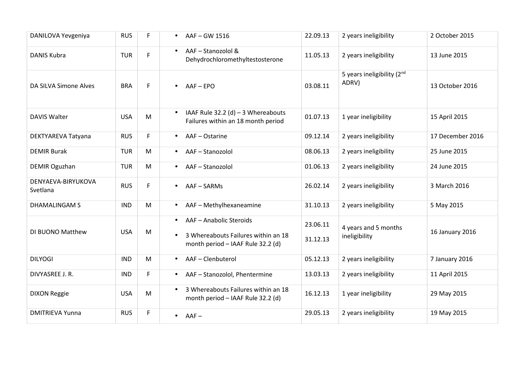| DANILOVA Yevgeniya             | <b>RUS</b> | F         | $\bullet$              | AAF-GW 1516                                                                                         | 22.09.13             | 2 years ineligibility                           | 2 October 2015   |
|--------------------------------|------------|-----------|------------------------|-----------------------------------------------------------------------------------------------------|----------------------|-------------------------------------------------|------------------|
| <b>DANIS Kubra</b>             | <b>TUR</b> | F         | $\bullet$              | AAF - Stanozolol &<br>Dehydrochloromethyltestosterone                                               | 11.05.13             | 2 years ineligibility                           | 13 June 2015     |
| DA SILVA Simone Alves          | <b>BRA</b> | F         |                        | $AAF - EPO$                                                                                         | 03.08.11             | 5 years ineligibility (2 <sup>nd</sup><br>ADRV) | 13 October 2016  |
| <b>DAVIS Walter</b>            | <b>USA</b> | M         | $\bullet$              | IAAF Rule 32.2 (d) $-3$ Whereabouts<br>Failures within an 18 month period                           | 01.07.13             | 1 year ineligibility                            | 15 April 2015    |
| DEKTYAREVA Tatyana             | <b>RUS</b> | F.        | $\bullet$              | AAF - Ostarine                                                                                      | 09.12.14             | 2 years ineligibility                           | 17 December 2016 |
| <b>DEMIR Burak</b>             | <b>TUR</b> | ${\sf M}$ | $\bullet$              | AAF-Stanozolol                                                                                      | 08.06.13             | 2 years ineligibility                           | 25 June 2015     |
| <b>DEMIR Oguzhan</b>           | <b>TUR</b> | M         | $\bullet$              | AAF-Stanozolol                                                                                      | 01.06.13             | 2 years ineligibility                           | 24 June 2015     |
| DENYAEVA-BIRYUKOVA<br>Svetlana | <b>RUS</b> | F.        | $\bullet$              | AAF-SARMs                                                                                           | 26.02.14             | 2 years ineligibility                           | 3 March 2016     |
| <b>DHAMALINGAM S</b>           | <b>IND</b> | M         | $\bullet$              | AAF - Methylhexaneamine                                                                             | 31.10.13             | 2 years ineligibility                           | 5 May 2015       |
| DI BUONO Matthew               | <b>USA</b> | M         | $\bullet$<br>$\bullet$ | AAF - Anabolic Steroids<br>3 Whereabouts Failures within an 18<br>month period - IAAF Rule 32.2 (d) | 23.06.11<br>31.12.13 | 4 years and 5 months<br>ineligibility           | 16 January 2016  |
| <b>DILYOGI</b>                 | <b>IND</b> | M         | $\bullet$              | AAF-Clenbuterol                                                                                     | 05.12.13             | 2 years ineligibility                           | 7 January 2016   |
| DIVYASREE J. R.                | <b>IND</b> | F         | $\bullet$              | AAF - Stanozolol, Phentermine                                                                       | 13.03.13             | 2 years ineligibility                           | 11 April 2015    |
| <b>DIXON Reggie</b>            | <b>USA</b> | M         |                        | 3 Whereabouts Failures within an 18<br>month period - IAAF Rule 32.2 (d)                            | 16.12.13             | 1 year ineligibility                            | 29 May 2015      |
| <b>DMITRIEVA Yunna</b>         | <b>RUS</b> | F.        | $\bullet$              | $AAF -$                                                                                             | 29.05.13             | 2 years ineligibility                           | 19 May 2015      |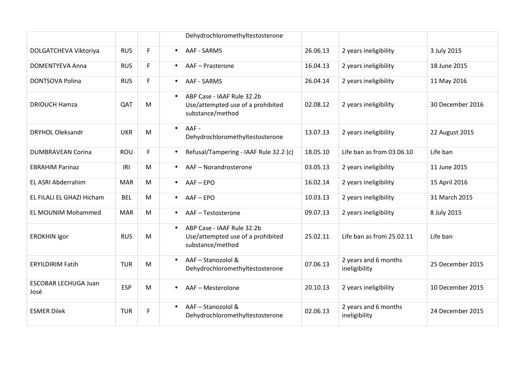|                                     |            |    | Dehydrochloromethyltestosterone                                                                  |          |                                       |                  |
|-------------------------------------|------------|----|--------------------------------------------------------------------------------------------------|----------|---------------------------------------|------------------|
| DOLGATCHEVA Viktoriya               | <b>RUS</b> | F  | AAF - SARMS<br>$\bullet$                                                                         | 26.06.13 | 2 years ineligibility                 | 3 July 2015      |
| <b>DOMENTYEVA Anna</b>              | <b>RUS</b> | F. | AAF - Prasterone<br>$\bullet$                                                                    | 16.04.13 | 2 years ineligibility                 | 18 June 2015     |
| <b>DONTSOVA Polina</b>              | <b>RUS</b> | F  | AAF - SARMS<br>$\bullet$                                                                         | 26.04.14 | 2 years ineligibility                 | 11 May 2016      |
| <b>DRIOUCH Hamza</b>                | QAT        | M  | ABP Case - IAAF Rule 32.2b<br>$\bullet$<br>Use/attempted use of a prohibited<br>substance/method | 02.08.12 | 2 years ineligibility                 | 30 December 2016 |
| <b>DRYHOL Oleksandr</b>             | <b>UKR</b> | M  | AAF-<br>$\bullet$<br>Dehydrochloromethyltestosterone                                             | 13.07.13 | 2 years ineligibility                 | 22 August 2015   |
| <b>DUMBRAVEAN Corina</b>            | ROU        | F  | Refusal/Tampering - IAAF Rule 32.2 (c)<br>$\bullet$                                              | 18.05.10 | Life ban as from 03.06.10             | Life ban         |
| <b>EBRAHIM Parinaz</b>              | IRI        | M  | AAF - Norandrosterone<br>$\bullet$                                                               | 03.05.13 | 2 years ineligibility                 | 11 June 2015     |
| EL ASRI Abderrahim                  | <b>MAR</b> | M  | $AAF - EPO$<br>$\bullet$                                                                         | 16.02.14 | 2 years ineligibility                 | 15 April 2016    |
| EL FILALI EL GHAZI Hicham           | <b>BEL</b> | M  | $AAF - EPO$<br>$\bullet$                                                                         | 10.03.13 | 2 years ineligibility                 | 31 March 2015    |
| <b>EL MOUNIM Mohammed</b>           | <b>MAR</b> | M  | AAF-Testosterone<br>$\bullet$                                                                    | 09.07.13 | 2 years ineligibility                 | 8 July 2015      |
| <b>EROKHIN Igor</b>                 | <b>RUS</b> | M  | ABP Case - IAAF Rule 32.2b<br>$\bullet$<br>Use/attempted use of a prohibited<br>substance/method | 25.02.11 | Life ban as from 25.02.11             | Life ban         |
| <b>ERYILDIRIM Fatih</b>             | <b>TUR</b> | M  | AAF - Stanozolol &<br>Dehydrochloromethyltestosterone                                            | 07.06.13 | 2 years and 6 months<br>ineligibility | 25 December 2015 |
| <b>ESCOBAR LECHUGA Juan</b><br>José | <b>ESP</b> | M  | AAF - Mesterolone<br>$\bullet$                                                                   | 20.10.13 | 2 years ineligibility                 | 10 December 2015 |
| <b>ESMER Dilek</b>                  | <b>TUR</b> | F  | AAF - Stanozolol &<br>$\bullet$<br>Dehydrochloromethyltestosterone                               | 02.06.13 | 2 years and 6 months<br>ineligibility | 24 December 2015 |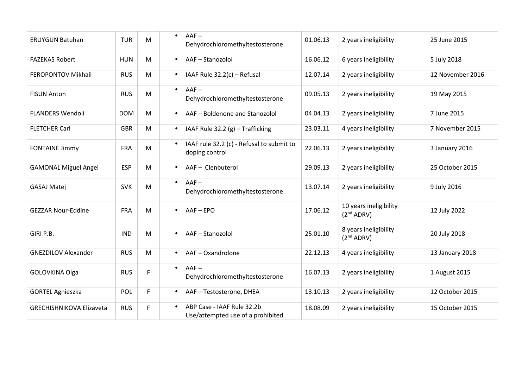| <b>ERUYGUN Batuhan</b>          | <b>TUR</b> | M  | $AAF -$<br>$\bullet$<br>Dehydrochloromethyltestosterone                  | 01.06.13 | 2 years ineligibility                            | 25 June 2015     |
|---------------------------------|------------|----|--------------------------------------------------------------------------|----------|--------------------------------------------------|------------------|
| <b>FAZEKAS Robert</b>           | <b>HUN</b> | M  | AAF-Stanozolol<br>$\bullet$                                              | 16.06.12 | 6 years ineligibility                            | 5 July 2018      |
| FEROPONTOV Mikhail              | <b>RUS</b> | M  | IAAF Rule 32.2(c) - Refusal<br>$\bullet$                                 | 12.07.14 | 2 years ineligibility                            | 12 November 2016 |
| <b>FISUN Anton</b>              | <b>RUS</b> | M  | $AAF -$<br>$\bullet$<br>Dehydrochloromethyltestosterone                  | 09.05.13 | 2 years ineligibility                            | 19 May 2015      |
| <b>FLANDERS Wendoli</b>         | <b>DOM</b> | M  | AAF - Boldenone and Stanozolol<br>$\bullet$                              | 04.04.13 | 2 years ineligibility                            | 7 June 2015      |
| <b>FLETCHER Carl</b>            | <b>GBR</b> | M  | IAAF Rule 32.2 (g) - Trafficking<br>$\bullet$                            | 23.03.11 | 4 years ineligibility                            | 7 November 2015  |
| <b>FONTAINE Jimmy</b>           | <b>FRA</b> | M  | IAAF rule 32.2 (c) - Refusal to submit to<br>$\bullet$<br>doping control | 22.06.13 | 2 years ineligibility                            | 3 January 2016   |
| <b>GAMONAL Miguel Angel</b>     | <b>ESP</b> | M  | AAF - Clenbuterol<br>$\bullet$                                           | 29.09.13 | 2 years ineligibility                            | 25 October 2015  |
| <b>GASAJ Matej</b>              | <b>SVK</b> | M  | $AAF -$<br>$\bullet$<br>Dehydrochloromethyltestosterone                  | 13.07.14 | 2 years ineligibility                            | 9 July 2016      |
| <b>GEZZAR Nour-Eddine</b>       | <b>FRA</b> | M  | AAF-EPO<br>$\bullet$                                                     | 17.06.12 | 10 years ineligibility<br>(2 <sup>nd</sup> ADRV) | 12 July 2022     |
| GIRI P.B.                       | <b>IND</b> | M  | AAF-Stanozolol                                                           | 25.01.10 | 8 years ineligibility<br>(2 <sup>nd</sup> ADRV)  | 20 July 2018     |
| <b>GNEZDILOV Alexander</b>      | <b>RUS</b> | M  | AAF-Oxandrolone<br>$\bullet$                                             | 22.12.13 | 4 years ineligibility                            | 13 January 2018  |
| GOLOVKINA Olga                  | <b>RUS</b> | F  | $AAF -$<br>$\bullet$<br>Dehydrochloromethyltestosterone                  | 16.07.13 | 2 years ineligibility                            | 1 August 2015    |
| <b>GORTEL Agnieszka</b>         | POL        | F  | AAF - Testosterone, DHEA                                                 | 13.10.13 | 2 years ineligibility                            | 12 October 2015  |
| <b>GRECHISHNIKOVA Elizaveta</b> | <b>RUS</b> | F. | ABP Case - IAAF Rule 32.2b<br>Use/attempted use of a prohibited          | 18.08.09 | 2 years ineligibility                            | 15 October 2015  |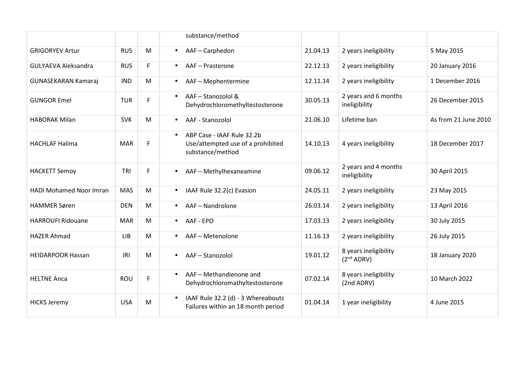|                                |            |    | substance/method                                                                                 |          |                                                 |                      |
|--------------------------------|------------|----|--------------------------------------------------------------------------------------------------|----------|-------------------------------------------------|----------------------|
| <b>GRIGORYEV Artur</b>         | <b>RUS</b> | M  | AAF-Carphedon<br>$\bullet$                                                                       | 21.04.13 | 2 years ineligibility                           | 5 May 2015           |
| <b>GULYAEVA Aleksandra</b>     | <b>RUS</b> | F. | AAF - Prasterone<br>$\bullet$                                                                    | 22.12.13 | 2 years ineligibility                           | 20 January 2016      |
| <b>GUNASEKARAN Kamaraj</b>     | <b>IND</b> | M  | AAF - Mephentermine<br>$\bullet$                                                                 | 12.11.14 | 2 years ineligibility                           | 1 December 2016      |
| <b>GUNGOR Emel</b>             | <b>TUR</b> | F. | AAF - Stanozolol &<br>$\bullet$<br>Dehydrochloromethyltestosterone                               | 30.05.13 | 2 years and 6 months<br>ineligibility           | 26 December 2015     |
| <b>HABORAK Milan</b>           | <b>SVK</b> | M  | AAF - Stanozolol<br>$\bullet$                                                                    | 21.06.10 | Lifetime ban                                    | As from 21 June 2010 |
| <b>HACHLAF Halima</b>          | <b>MAR</b> | F. | ABP Case - IAAF Rule 32.2b<br>$\bullet$<br>Use/attempted use of a prohibited<br>substance/method | 14.10.13 | 4 years ineligibility                           | 18 December 2017     |
| <b>HACKETT Semoy</b>           | TRI        | F. | AAF - Methylhexaneamine<br>$\bullet$                                                             | 09.06.12 | 2 years and 4 months<br>ineligibility           | 30 April 2015        |
| <b>HADI Mohamed Noor Imran</b> | <b>MAS</b> | M  | IAAF Rule 32.2(c) Evasion<br>$\bullet$                                                           | 24.05.11 | 2 years ineligibility                           | 23 May 2015          |
| <b>HAMMER Søren</b>            | <b>DEN</b> | M  | AAF - Nandrolone<br>$\bullet$                                                                    | 26.03.14 | 2 years ineligibility                           | 13 April 2016        |
| <b>HARROUFI Ridouane</b>       | <b>MAR</b> | M  | AAF - EPO<br>$\bullet$                                                                           | 17.03.13 | 2 years ineligibility                           | 30 July 2015         |
| <b>HAZER Ahmad</b>             | <b>LIB</b> | M  | AAF - Metenolone<br>$\bullet$                                                                    | 11.16.13 | 2 years ineligibility                           | 26 July 2015         |
| <b>HEIDARPOOR Hassan</b>       | IRI        | M  | AAF - Stanozolol<br>$\bullet$                                                                    | 19.01.12 | 8 years ineligibility<br>(2 <sup>nd</sup> ADRV) | 18 January 2020      |
| <b>HELTNE Anca</b>             | <b>ROU</b> | F. | AAF - Methandienone and<br>$\bullet$<br>Dehydrochloromathyltestosterone                          | 07.02.14 | 8 years ineligibility<br>(2nd ADRV)             | 10 March 2022        |
| <b>HICKS Jeremy</b>            | <b>USA</b> | M  | IAAF Rule 32.2 (d) - 3 Whereabouts<br>$\bullet$<br>Failures within an 18 month period            | 01.04.14 | 1 year ineligibility                            | 4 June 2015          |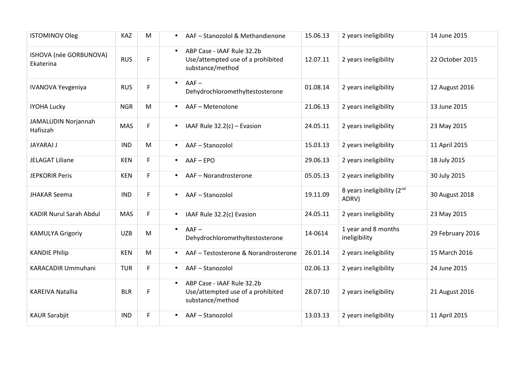| <b>ISTOMINOV Oleg</b>               | <b>KAZ</b> | M  | AAF - Stanozolol & Methandienone<br>$\bullet$                                                    | 15.06.13 | 2 years ineligibility                    | 14 June 2015     |
|-------------------------------------|------------|----|--------------------------------------------------------------------------------------------------|----------|------------------------------------------|------------------|
| ISHOVA (née GORBUNOVA)<br>Ekaterina | <b>RUS</b> | F  | ABP Case - IAAF Rule 32.2b<br>$\bullet$<br>Use/attempted use of a prohibited<br>substance/method | 12.07.11 | 2 years ineligibility                    | 22 October 2015  |
| <b>IVANOVA Yevgeniya</b>            | <b>RUS</b> | F  | $AAF -$<br>$\bullet$<br>Dehydrochloromethyltestosterone                                          | 01.08.14 | 2 years ineligibility                    | 12 August 2016   |
| <b>IYOHA Lucky</b>                  | <b>NGR</b> | M  | AAF - Metenolone<br>$\bullet$                                                                    | 21.06.13 | 2 years ineligibility                    | 13 June 2015     |
| JAMALUDIN Norjannah<br>Hafiszah     | MAS        | F  | IAAF Rule $32.2(c)$ – Evasion<br>$\bullet$                                                       | 24.05.11 | 2 years ineligibility                    | 23 May 2015      |
| <b>JAYARAJ J</b>                    | <b>IND</b> | M  | AAF-Stanozolol<br>$\bullet$                                                                      | 15.03.13 | 2 years ineligibility                    | 11 April 2015    |
| <b>JELAGAT Liliane</b>              | <b>KEN</b> | F  | $AAF - EPO$<br>$\bullet$                                                                         | 29.06.13 | 2 years ineligibility                    | 18 July 2015     |
| <b>JEPKORIR Peris</b>               | <b>KEN</b> | F  | AAF - Norandrosterone<br>$\bullet$                                                               | 05.05.13 | 2 years ineligibility                    | 30 July 2015     |
| <b>JHAKAR Seema</b>                 | <b>IND</b> | F. | AAF-Stanozolol<br>$\bullet$                                                                      | 19.11.09 | 8 years ineligibility $(2^{nd}$<br>ADRV) | 30 August 2018   |
| <b>KADIR Nurul Sarah Abdul</b>      | MAS        | F  | IAAF Rule 32.2(c) Evasion<br>$\bullet$                                                           | 24.05.11 | 2 years ineligibility                    | 23 May 2015      |
| <b>KAMULYA Grigoriy</b>             | <b>UZB</b> | M  | $AAF -$<br>$\bullet$<br>Dehydrochloromethyltestosterone                                          | 14-0614  | 1 year and 8 months<br>ineligibility     | 29 February 2016 |
| <b>KANDIE Philip</b>                | <b>KEN</b> | M  | AAF - Testosterone & Norandrosterone<br>$\bullet$                                                | 26.01.14 | 2 years ineligibility                    | 15 March 2016    |
| KARACADIR Ummuhani                  | <b>TUR</b> | F  | AAF-Stanozolol<br>$\bullet$                                                                      | 02.06.13 | 2 years ineligibility                    | 24 June 2015     |
| <b>KAREIVA Natallia</b>             | <b>BLR</b> | F  | ABP Case - IAAF Rule 32.2b<br>Use/attempted use of a prohibited<br>substance/method              | 28.07.10 | 2 years ineligibility                    | 21 August 2016   |
| <b>KAUR Sarabjit</b>                | <b>IND</b> | F  | AAF-Stanozolol<br>$\bullet$                                                                      | 13.03.13 | 2 years ineligibility                    | 11 April 2015    |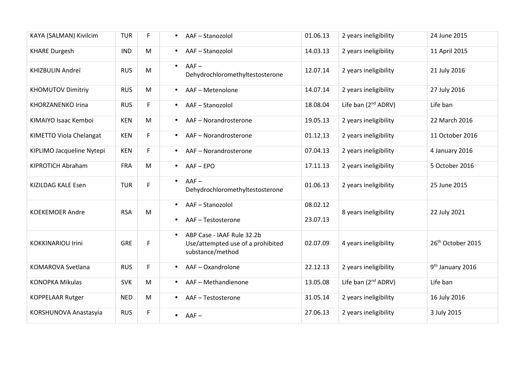| KAYA (SALMAN) Kivilcim    | <b>TUR</b> | F<br>$\bullet$              | AAF-Stanozolol                                                                      | 01.06.13             | 2 years ineligibility           | 24 June 2015                  |
|---------------------------|------------|-----------------------------|-------------------------------------------------------------------------------------|----------------------|---------------------------------|-------------------------------|
| <b>KHARE Durgesh</b>      | <b>IND</b> | M<br>$\bullet$              | AAF-Stanozolol                                                                      | 14.03.13             | 2 years ineligibility           | 11 April 2015                 |
| KHIZBULIN Andreï          | <b>RUS</b> | $\bullet$<br>M              | $AAF -$<br>Dehydrochloromethyltestosterone                                          | 12.07.14             | 2 years ineligibility           | 21 July 2016                  |
| <b>KHOMUTOV Dimitriy</b>  | <b>RUS</b> | M<br>$\bullet$              | AAF-Metenolone                                                                      | 14.07.14             | 2 years ineligibility           | 27 July 2016                  |
| KHORZANENKO Irina         | <b>RUS</b> | F.<br>$\bullet$             | AAF-Stanozolol                                                                      | 18.08.04             | Life ban (2 <sup>nd</sup> ADRV) | Life ban                      |
| KIMAIYO Isaac Kemboi      | <b>KEN</b> | M<br>$\bullet$              | AAF - Norandrosterone                                                               | 19.05.13             | 2 years ineligibility           | 22 March 2016                 |
| KIMETTO Viola Chelangat   | <b>KEN</b> | F<br>$\bullet$              | AAF - Norandrosterone                                                               | 01.12.13             | 2 years ineligibility           | 11 October 2016               |
| KIPLIMO Jacqueline Nytepi | <b>KEN</b> | F<br>$\bullet$              | AAF-Norandrosterone                                                                 | 07.04.13             | 2 years ineligibility           | 4 January 2016                |
| KIPROTICH Abraham         | <b>FRA</b> | M<br>$\bullet$              | AAF-EPO                                                                             | 17.11.13             | 2 years ineligibility           | 5 October 2016                |
| KIZILDAG KALE Esen        | <b>TUR</b> | $\bullet$<br>F              | $AAF -$<br>Dehydrochloromethyltestosterone                                          | 01.06.13             | 2 years ineligibility           | 25 June 2015                  |
| <b>KOEKEMOER Andre</b>    | <b>RSA</b> | $\bullet$<br>M<br>$\bullet$ | AAF-Stanozolol<br>AAF-Testosterone                                                  | 08.02.12<br>23.07.13 | 8 years ineligibility           | 22 July 2021                  |
| <b>KOKKINARIOU Irini</b>  | <b>GRE</b> | $\bullet$<br>F              | ABP Case - IAAF Rule 32.2b<br>Use/attempted use of a prohibited<br>substance/method | 02.07.09             | 4 years ineligibility           | 26 <sup>th</sup> October 2015 |
| KOMAROVA Svetlana         | <b>RUS</b> | F<br>$\bullet$              | AAF-Oxandrolone                                                                     | 22.12.13             | 2 years ineligibility           | 9 <sup>th</sup> January 2016  |
| <b>KONOPKA Mikulas</b>    | <b>SVK</b> | M<br>$\bullet$              | AAF - Methandienone                                                                 | 13.05.08             | Life ban (2 <sup>nd</sup> ADRV) | Life ban                      |
| <b>KOPPELAAR Rutger</b>   | <b>NED</b> | M<br>$\bullet$              | AAF-Testosterone                                                                    | 31.05.14             | 2 years ineligibility           | 16 July 2016                  |
| KORSHUNOVA Anastasyia     | <b>RUS</b> | F                           | $AAF -$<br>$\bullet$                                                                | 27.06.13             | 2 years ineligibility           | 3 July 2015                   |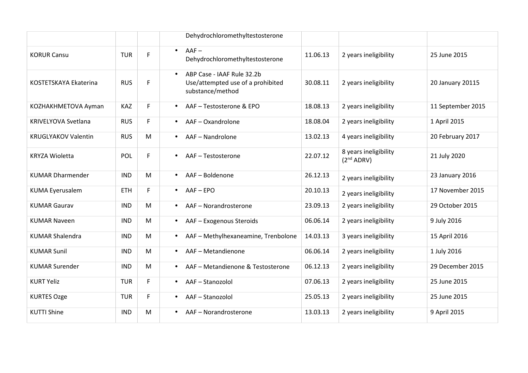|                            |            |    | Dehydrochloromethyltestosterone                                                     |          |                                                 |                   |
|----------------------------|------------|----|-------------------------------------------------------------------------------------|----------|-------------------------------------------------|-------------------|
| <b>KORUR Cansu</b>         | <b>TUR</b> | F. | $AAF -$<br>$\bullet$<br>Dehydrochloromethyltestosterone                             | 11.06.13 | 2 years ineligibility                           | 25 June 2015      |
| KOSTETSKAYA Ekaterina      | <b>RUS</b> | F. | ABP Case - IAAF Rule 32.2b<br>Use/attempted use of a prohibited<br>substance/method | 30.08.11 | 2 years ineligibility                           | 20 January 20115  |
| KOZHAKHMETOVA Ayman        | KAZ        | F  | AAF-Testosterone & EPO<br>$\bullet$                                                 | 18.08.13 | 2 years ineligibility                           | 11 September 2015 |
| KRIVELYOVA Svetlana        | <b>RUS</b> | F. | AAF-Oxandrolone<br>$\bullet$                                                        | 18.08.04 | 2 years ineligibility                           | 1 April 2015      |
| <b>KRUGLYAKOV Valentin</b> | <b>RUS</b> | M  | AAF - Nandrolone<br>$\bullet$                                                       | 13.02.13 | 4 years ineligibility                           | 20 February 2017  |
| <b>KRYZA Wioletta</b>      | <b>POL</b> | F. | AAF-Testosterone                                                                    | 22.07.12 | 8 years ineligibility<br>(2 <sup>nd</sup> ADRV) | 21 July 2020      |
| <b>KUMAR Dharmender</b>    | <b>IND</b> | M  | AAF-Boldenone                                                                       | 26.12.13 | 2 years ineligibility                           | 23 January 2016   |
| <b>KUMA Eyerusalem</b>     | <b>ETH</b> | F. | $AAF - EPO$<br>$\bullet$                                                            | 20.10.13 | 2 years ineligibility                           | 17 November 2015  |
| <b>KUMAR Gaurav</b>        | <b>IND</b> | M  | AAF - Norandrosterone<br>$\bullet$                                                  | 23.09.13 | 2 years ineligibility                           | 29 October 2015   |
| <b>KUMAR Naveen</b>        | <b>IND</b> | M  | AAF - Exogenous Steroids<br>$\bullet$                                               | 06.06.14 | 2 years ineligibility                           | 9 July 2016       |
| <b>KUMAR Shalendra</b>     | <b>IND</b> | M  | AAF - Methylhexaneamine, Trenbolone<br>$\bullet$                                    | 14.03.13 | 3 years ineligibility                           | 15 April 2016     |
| <b>KUMAR Sunil</b>         | <b>IND</b> | M  | AAF - Metandienone<br>$\bullet$                                                     | 06.06.14 | 2 years ineligibility                           | 1 July 2016       |
| <b>KUMAR Surender</b>      | <b>IND</b> | M  | AAF - Metandienone & Testosterone<br>$\bullet$                                      | 06.12.13 | 2 years ineligibility                           | 29 December 2015  |
| <b>KURT Yeliz</b>          | <b>TUR</b> | F  | AAF-Stanozolol<br>$\bullet$                                                         | 07.06.13 | 2 years ineligibility                           | 25 June 2015      |
| <b>KURTES Ozge</b>         | <b>TUR</b> | F. | AAF-Stanozolol<br>$\bullet$                                                         | 25.05.13 | 2 years ineligibility                           | 25 June 2015      |
| <b>KUTTI Shine</b>         | <b>IND</b> | M  | AAF-Norandrosterone                                                                 | 13.03.13 | 2 years ineligibility                           | 9 April 2015      |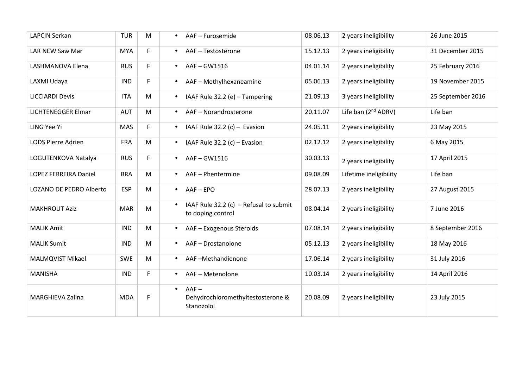| <b>LAPCIN Serkan</b>         | <b>TUR</b> | M  | $\bullet$ | AAF - Furosemide                                            | 08.06.13 | 2 years ineligibility           | 26 June 2015      |
|------------------------------|------------|----|-----------|-------------------------------------------------------------|----------|---------------------------------|-------------------|
| LAR NEW Saw Mar              | <b>MYA</b> | F. | $\bullet$ | AAF-Testosterone                                            | 15.12.13 | 2 years ineligibility           | 31 December 2015  |
| LASHMANOVA Elena             | <b>RUS</b> | F  | $\bullet$ | AAF-GW1516                                                  | 04.01.14 | 2 years ineligibility           | 25 February 2016  |
| LAXMI Udaya                  | <b>IND</b> | F  | $\bullet$ | AAF - Methylhexaneamine                                     | 05.06.13 | 2 years ineligibility           | 19 November 2015  |
| <b>LICCIARDI Devis</b>       | <b>ITA</b> | M  | $\bullet$ | IAAF Rule 32.2 (e) - Tampering                              | 21.09.13 | 3 years ineligibility           | 25 September 2016 |
| <b>LICHTENEGGER Elmar</b>    | <b>AUT</b> | M  | $\bullet$ | AAF-Norandrosterone                                         | 20.11.07 | Life ban (2 <sup>nd</sup> ADRV) | Life ban          |
| LING Yee Yi                  | MAS        | F. | $\bullet$ | IAAF Rule 32.2 (c) - Evasion                                | 24.05.11 | 2 years ineligibility           | 23 May 2015       |
| <b>LODS Pierre Adrien</b>    | <b>FRA</b> | M  | $\bullet$ | IAAF Rule $32.2$ (c) - Evasion                              | 02.12.12 | 2 years ineligibility           | 6 May 2015        |
| LOGUTENKOVA Natalya          | <b>RUS</b> | F. | $\bullet$ | AAF-GW1516                                                  | 30.03.13 | 2 years ineligibility           | 17 April 2015     |
| <b>LOPEZ FERREIRA Daniel</b> | <b>BRA</b> | M  | $\bullet$ | AAF - Phentermine                                           | 09.08.09 | Lifetime ineligibility          | Life ban          |
| LOZANO DE PEDRO Alberto      | <b>ESP</b> | M  | $\bullet$ | $AAF - EPO$                                                 | 28.07.13 | 2 years ineligibility           | 27 August 2015    |
| <b>MAKHROUT Aziz</b>         | <b>MAR</b> | M  | $\bullet$ | IAAF Rule 32.2 (c) - Refusal to submit<br>to doping control | 08.04.14 | 2 years ineligibility           | 7 June 2016       |
| <b>MALIK Amit</b>            | <b>IND</b> | M  | $\bullet$ | AAF - Exogenous Steroids                                    | 07.08.14 | 2 years ineligibility           | 8 September 2016  |
| <b>MALIK Sumit</b>           | <b>IND</b> | M  | $\bullet$ | AAF-Drostanolone                                            | 05.12.13 | 2 years ineligibility           | 18 May 2016       |
| <b>MALMQVIST Mikael</b>      | <b>SWE</b> | M  | $\bullet$ | AAF-Methandienone                                           | 17.06.14 | 2 years ineligibility           | 31 July 2016      |
| <b>MANISHA</b>               | <b>IND</b> | F  | $\bullet$ | AAF-Metenolone                                              | 10.03.14 | 2 years ineligibility           | 14 April 2016     |
| <b>MARGHIEVA Zalina</b>      | <b>MDA</b> | F  | $\bullet$ | $AAF -$<br>Dehydrochloromethyltestosterone &<br>Stanozolol  | 20.08.09 | 2 years ineligibility           | 23 July 2015      |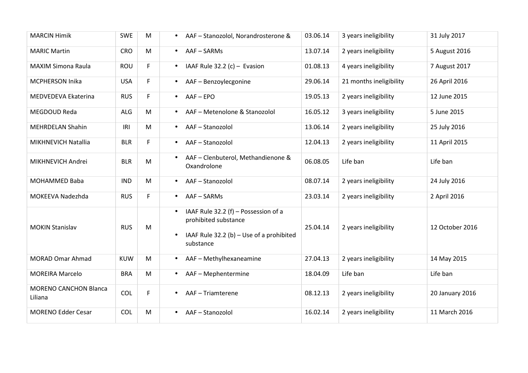| <b>MARCIN Himik</b>                     | <b>SWE</b> | M | AAF - Stanozolol, Norandrosterone &<br>$\bullet$                                                                                                | 03.06.14 | 3 years ineligibility   | 31 July 2017    |
|-----------------------------------------|------------|---|-------------------------------------------------------------------------------------------------------------------------------------------------|----------|-------------------------|-----------------|
| <b>MARIC Martin</b>                     | <b>CRO</b> | M | AAF-SARMs<br>$\bullet$                                                                                                                          | 13.07.14 | 2 years ineligibility   | 5 August 2016   |
| <b>MAXIM Simona Raula</b>               | ROU        | F | IAAF Rule $32.2$ (c) - Evasion<br>$\bullet$                                                                                                     | 01.08.13 | 4 years ineligibility   | 7 August 2017   |
| MCPHERSON Inika                         | <b>USA</b> | F | AAF - Benzoylecgonine<br>$\bullet$                                                                                                              | 29.06.14 | 21 months ineligibility | 26 April 2016   |
| MEDVEDEVA Ekaterina                     | <b>RUS</b> | F | AAF-EPO<br>$\bullet$                                                                                                                            | 19.05.13 | 2 years ineligibility   | 12 June 2015    |
| MEGDOUD Reda                            | <b>ALG</b> | M | AAF - Metenolone & Stanozolol<br>$\bullet$                                                                                                      | 16.05.12 | 3 years ineligibility   | 5 June 2015     |
| <b>MEHRDELAN Shahin</b>                 | IRI        | M | AAF-Stanozolol<br>$\bullet$                                                                                                                     | 13.06.14 | 2 years ineligibility   | 25 July 2016    |
| MIKHNEVICH Natallia                     | <b>BLR</b> | F | AAF-Stanozolol<br>$\bullet$                                                                                                                     | 12.04.13 | 2 years ineligibility   | 11 April 2015   |
| MIKHNEVICH Andrei                       | <b>BLR</b> | M | AAF - Clenbuterol, Methandienone &<br>Oxandrolone                                                                                               | 06.08.05 | Life ban                | Life ban        |
| <b>MOHAMMED Baba</b>                    | <b>IND</b> | M | AAF-Stanozolol<br>$\bullet$                                                                                                                     | 08.07.14 | 2 years ineligibility   | 24 July 2016    |
| MOKEEVA Nadezhda                        | <b>RUS</b> | F | AAF-SARMs<br>$\bullet$                                                                                                                          | 23.03.14 | 2 years ineligibility   | 2 April 2016    |
| <b>MOKIN Stanislav</b>                  | <b>RUS</b> | M | IAAF Rule 32.2 (f) - Possession of a<br>$\bullet$<br>prohibited substance<br>IAAF Rule 32.2 (b) - Use of a prohibited<br>$\bullet$<br>substance | 25.04.14 | 2 years ineligibility   | 12 October 2016 |
| <b>MORAD Omar Ahmad</b>                 | <b>KUW</b> | M | AAF - Methylhexaneamine<br>$\bullet$                                                                                                            | 27.04.13 | 2 years ineligibility   | 14 May 2015     |
| <b>MOREIRA Marcelo</b>                  | <b>BRA</b> | M | AAF - Mephentermine<br>$\bullet$                                                                                                                | 18.04.09 | Life ban                | Life ban        |
| <b>MORENO CANCHON Blanca</b><br>Liliana | COL        | F | AAF - Triamterene                                                                                                                               | 08.12.13 | 2 years ineligibility   | 20 January 2016 |
| <b>MORENO Edder Cesar</b>               | COL        | M | AAF-Stanozolol                                                                                                                                  | 16.02.14 | 2 years ineligibility   | 11 March 2016   |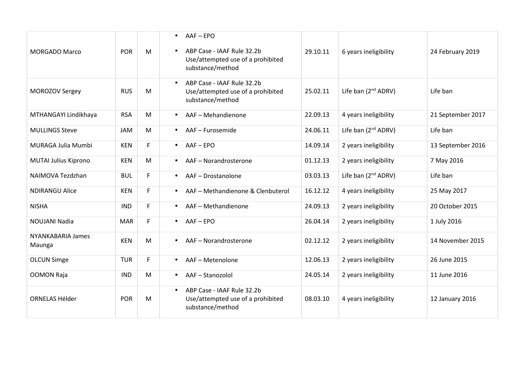| <b>MORGADO Marco</b>               | POR        | M  | AAF-EPO<br>$\bullet$<br>ABP Case - IAAF Rule 32.2b<br>Use/attempted use of a prohibited<br>substance/method | 29.10.11 | 6 years ineligibility           | 24 February 2019  |
|------------------------------------|------------|----|-------------------------------------------------------------------------------------------------------------|----------|---------------------------------|-------------------|
| MOROZOV Sergey                     | <b>RUS</b> | M  | ABP Case - IAAF Rule 32.2b<br>$\bullet$<br>Use/attempted use of a prohibited<br>substance/method            | 25.02.11 | Life ban (2 <sup>nd</sup> ADRV) | Life ban          |
| MTHANGAYI Lindikhaya               | <b>RSA</b> | M  | AAF - Mehandienone<br>$\bullet$                                                                             | 22.09.13 | 4 years ineligibility           | 21 September 2017 |
| <b>MULLINGS Steve</b>              | <b>JAM</b> | M  | AAF - Furosemide<br>$\bullet$                                                                               | 24.06.11 | Life ban (2 <sup>nd</sup> ADRV) | Life ban          |
| MURAGA Julia Mumbi                 | <b>KEN</b> | F  | AAF-EPO<br>$\bullet$                                                                                        | 14.09.14 | 2 years ineligibility           | 13 September 2016 |
| MUTAI Julius Kiprono               | <b>KEN</b> | M  | AAF - Norandrosterone<br>$\bullet$                                                                          | 01.12.13 | 2 years ineligibility           | 7 May 2016        |
| NAIMOVA Tezdzhan                   | <b>BUL</b> | F. | AAF - Drostanolone<br>$\bullet$                                                                             | 03.03.13 | Life ban (2 <sup>nd</sup> ADRV) | Life ban          |
| <b>NDIRANGU Alice</b>              | <b>KEN</b> | F  | AAF - Methandienone & Clenbuterol<br>$\bullet$                                                              | 16.12.12 | 4 years ineligibility           | 25 May 2017       |
| <b>NISHA</b>                       | <b>IND</b> | F. | AAF - Methandienone<br>$\bullet$                                                                            | 24.09.13 | 2 years ineligibility           | 20 October 2015   |
| <b>NOUJANI Nadia</b>               | <b>MAR</b> | F. | $AAF - EPO$<br>$\bullet$                                                                                    | 26.04.14 | 2 years ineligibility           | 1 July 2016       |
| <b>NYANKABARIA James</b><br>Maunga | <b>KEN</b> | M  | AAF - Norandrosterone<br>$\bullet$                                                                          | 02.12.12 | 2 years ineligibility           | 14 November 2015  |
| <b>OLCUN Simge</b>                 | <b>TUR</b> | F  | AAF - Metenolone<br>$\bullet$                                                                               | 12.06.13 | 2 years ineligibility           | 26 June 2015      |
| <b>OOMON Raja</b>                  | <b>IND</b> | M  | AAF-Stanozolol<br>$\bullet$                                                                                 | 24.05.14 | 2 years ineligibility           | 11 June 2016      |
| <b>ORNELAS Hélder</b>              | <b>POR</b> | M  | ABP Case - IAAF Rule 32.2b<br>$\bullet$<br>Use/attempted use of a prohibited<br>substance/method            | 08.03.10 | 4 years ineligibility           | 12 January 2016   |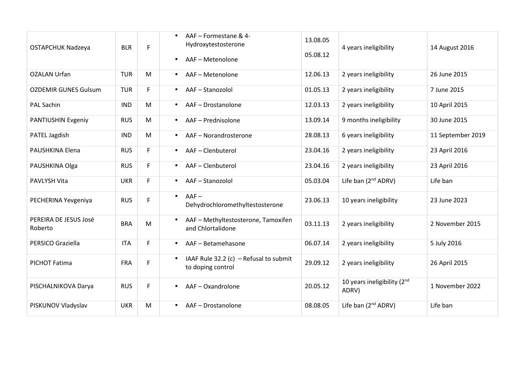| <b>OSTAPCHUK Nadzeya</b>         | <b>BLR</b> | F  | $\bullet$ | AAF - Formestane & 4-<br>Hydroxytestosterone<br>AAF - Metenolone | 13.08.05<br>05.08.12 | 4 years ineligibility                | 14 August 2016    |
|----------------------------------|------------|----|-----------|------------------------------------------------------------------|----------------------|--------------------------------------|-------------------|
| <b>OZALAN Urfan</b>              | <b>TUR</b> | M  | $\bullet$ | AAF-Metenolone                                                   | 12.06.13             | 2 years ineligibility                | 26 June 2015      |
| <b>OZDEMIR GUNES Gulsum</b>      | <b>TUR</b> | F. | $\bullet$ | AAF-Stanozolol                                                   | 01.05.13             | 2 years ineligibility                | 7 June 2015       |
| <b>PAL Sachin</b>                | <b>IND</b> | M  | $\bullet$ | AAF - Drostanolone                                               | 12.03.13             | 2 years ineligibility                | 10 April 2015     |
| PANTIUSHIN Evgeniy               | <b>RUS</b> | M  | $\bullet$ | AAF - Prednisolone                                               | 13.09.14             | 9 months ineligibility               | 30 June 2015      |
| PATEL Jagdish                    | <b>IND</b> | M  | $\bullet$ | AAF-Norandrosterone                                              | 28.08.13             | 6 years ineligibility                | 11 September 2019 |
| PAUSHKINA Elena                  | <b>RUS</b> | F  | $\bullet$ | AAF-Clenbuterol                                                  | 23.04.16             | 2 years ineligibility                | 23 April 2016     |
| PAUSHKINA Olga                   | <b>RUS</b> | F  | $\bullet$ | AAF-Clenbuterol                                                  | 23.04.16             | 2 years ineligibility                | 23 April 2016     |
| <b>PAVLYSH Vita</b>              | <b>UKR</b> | F. | $\bullet$ | AAF-Stanozolol                                                   | 05.03.04             | Life ban (2 <sup>nd</sup> ADRV)      | Life ban          |
| PECHERINA Yevgeniya              | <b>RUS</b> | F  | $\bullet$ | $AAF -$<br>Dehydrochloromethyltestosterone                       | 23.06.13             | 10 years ineligibility               | 23 June 2023      |
| PEREIRA DE JESUS José<br>Roberto | <b>BRA</b> | M  |           | AAF - Methyltestosterone, Tamoxifen<br>and Chlortalidone         | 03.11.13             | 2 years ineligibility                | 2 November 2015   |
| PERSICO Graziella                | <b>ITA</b> | F. | $\bullet$ | AAF - Betamehasone                                               | 06.07.14             | 2 years ineligibility                | 5 July 2016       |
| PICHOT Fatima                    | <b>FRA</b> | F  | $\bullet$ | IAAF Rule 32.2 (c) - Refusal to submit<br>to doping control      | 29.09.12             | 2 years ineligibility                | 26 April 2015     |
| PISCHALNIKOVA Darya              | <b>RUS</b> | F. |           | AAF-Oxandrolone                                                  | 20.05.12             | 10 years ineligibility (2nd<br>ADRV) | 1 November 2022   |
| PISKUNOV Vladyslav               | <b>UKR</b> | M  | $\bullet$ | AAF - Drostanolone                                               | 08.08.05             | Life ban (2 <sup>nd</sup> ADRV)      | Life ban          |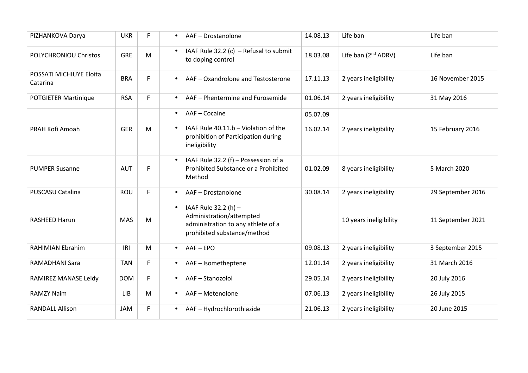| PIZHANKOVA Darya                    | <b>UKR</b> | F  | AAF - Drostanolone<br>$\bullet$                                                                                                    | 14.08.13             | Life ban                        | Life ban          |
|-------------------------------------|------------|----|------------------------------------------------------------------------------------------------------------------------------------|----------------------|---------------------------------|-------------------|
| POLYCHRONIOU Christos               | <b>GRE</b> | M  | IAAF Rule 32.2 (c) - Refusal to submit<br>$\bullet$<br>to doping control                                                           | 18.03.08             | Life ban (2 <sup>nd</sup> ADRV) | Life ban          |
| POSSATI MICHIUYE Eloita<br>Catarina | <b>BRA</b> | F. | AAF - Oxandrolone and Testosterone<br>$\bullet$                                                                                    | 17.11.13             | 2 years ineligibility           | 16 November 2015  |
| <b>POTGIETER Martinique</b>         | <b>RSA</b> | F. | AAF - Phentermine and Furosemide<br>$\bullet$                                                                                      | 01.06.14             | 2 years ineligibility           | 31 May 2016       |
| PRAH Kofi Amoah                     | <b>GER</b> | M  | AAF - Cocaine<br>$\bullet$<br>IAAF Rule 40.11.b - Violation of the<br>prohibition of Participation during<br>ineligibility         | 05.07.09<br>16.02.14 | 2 years ineligibility           | 15 February 2016  |
| <b>PUMPER Susanne</b>               | <b>AUT</b> | F  | IAAF Rule 32.2 (f) - Possession of a<br>$\bullet$<br>Prohibited Substance or a Prohibited<br>Method                                | 01.02.09             | 8 years ineligibility           | 5 March 2020      |
| PUSCASU Catalina                    | ROU        | F  | AAF - Drostanolone<br>$\bullet$                                                                                                    | 30.08.14             | 2 years ineligibility           | 29 September 2016 |
| <b>RASHEED Harun</b>                | <b>MAS</b> | M  | IAAF Rule 32.2 (h) -<br>$\bullet$<br>Administration/attempted<br>administration to any athlete of a<br>prohibited substance/method |                      | 10 years ineligibility          | 11 September 2021 |
| <b>RAHIMIAN Ebrahim</b>             | IRI        | M  | $AAF - EPO$<br>$\bullet$                                                                                                           | 09.08.13             | 2 years ineligibility           | 3 September 2015  |
| RAMADHANI Sara                      | <b>TAN</b> | F  | AAF - Isometheptene<br>$\bullet$                                                                                                   | 12.01.14             | 2 years ineligibility           | 31 March 2016     |
| RAMIREZ MANASE Leidy                | <b>DOM</b> | F. | AAF-Stanozolol<br>$\bullet$                                                                                                        | 29.05.14             | 2 years ineligibility           | 20 July 2016      |
| <b>RAMZY Naim</b>                   | <b>LIB</b> | M  | AAF - Metenolone<br>$\bullet$                                                                                                      | 07.06.13             | 2 years ineligibility           | 26 July 2015      |
| <b>RANDALL Allison</b>              | <b>JAM</b> | F  | AAF - Hydrochlorothiazide<br>$\bullet$                                                                                             | 21.06.13             | 2 years ineligibility           | 20 June 2015      |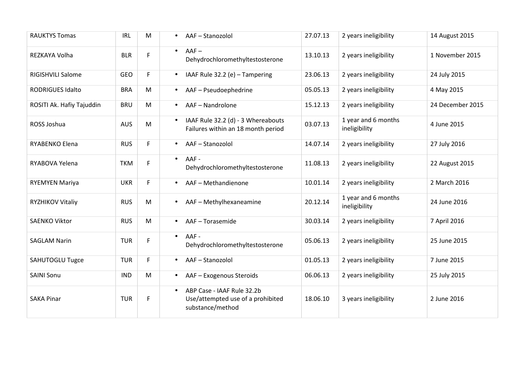| <b>RAUKTYS Tomas</b>      | <b>IRL</b> | M  | AAF-Stanozolol<br>$\bullet$                                                                      | 27.07.13 | 2 years ineligibility                | 14 August 2015   |
|---------------------------|------------|----|--------------------------------------------------------------------------------------------------|----------|--------------------------------------|------------------|
| REZKAYA Volha             | <b>BLR</b> | F. | $AAF -$<br>$\bullet$<br>Dehydrochloromethyltestosterone                                          | 13.10.13 | 2 years ineligibility                | 1 November 2015  |
| RIGISHVILI Salome         | <b>GEO</b> | F. | IAAF Rule 32.2 (e) - Tampering<br>$\bullet$                                                      | 23.06.13 | 2 years ineligibility                | 24 July 2015     |
| <b>RODRIGUES Idalto</b>   | <b>BRA</b> | M  | AAF - Pseudoephedrine<br>$\bullet$                                                               | 05.05.13 | 2 years ineligibility                | 4 May 2015       |
| ROSITI Ak. Hafiy Tajuddin | <b>BRU</b> | M  | AAF - Nandrolone<br>$\bullet$                                                                    | 15.12.13 | 2 years ineligibility                | 24 December 2015 |
| ROSS Joshua               | <b>AUS</b> | M  | IAAF Rule 32.2 (d) - 3 Whereabouts<br>$\bullet$<br>Failures within an 18 month period            | 03.07.13 | 1 year and 6 months<br>ineligibility | 4 June 2015      |
| RYABENKO Elena            | <b>RUS</b> | F. | AAF-Stanozolol<br>$\bullet$                                                                      | 14.07.14 | 2 years ineligibility                | 27 July 2016     |
| RYABOVA Yelena            | <b>TKM</b> | F. | AAF-<br>$\bullet$<br>Dehydrochloromethyltestosterone                                             | 11.08.13 | 2 years ineligibility                | 22 August 2015   |
| <b>RYEMYEN Mariya</b>     | <b>UKR</b> | F. | AAF - Methandienone<br>$\bullet$                                                                 | 10.01.14 | 2 years ineligibility                | 2 March 2016     |
| RYZHIKOV Vitaliy          | <b>RUS</b> | M  | AAF - Methylhexaneamine<br>$\bullet$                                                             | 20.12.14 | 1 year and 6 months<br>ineligibility | 24 June 2016     |
| <b>SAENKO Viktor</b>      | <b>RUS</b> | M  | AAF-Torasemide<br>$\bullet$                                                                      | 30.03.14 | 2 years ineligibility                | 7 April 2016     |
| <b>SAGLAM Narin</b>       | <b>TUR</b> | F. | AAF -<br>$\bullet$<br>Dehydrochloromethyltestosterone                                            | 05.06.13 | 2 years ineligibility                | 25 June 2015     |
| <b>SAHUTOGLU Tugce</b>    | <b>TUR</b> | F  | AAF-Stanozolol<br>$\bullet$                                                                      | 01.05.13 | 2 years ineligibility                | 7 June 2015      |
| <b>SAINI Sonu</b>         | <b>IND</b> | M  | AAF - Exogenous Steroids<br>$\bullet$                                                            | 06.06.13 | 2 years ineligibility                | 25 July 2015     |
| <b>SAKA Pinar</b>         | <b>TUR</b> | F. | ABP Case - IAAF Rule 32.2b<br>$\bullet$<br>Use/attempted use of a prohibited<br>substance/method | 18.06.10 | 3 years ineligibility                | 2 June 2016      |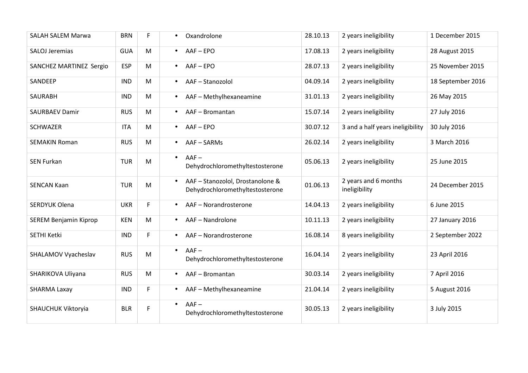| <b>SALAH SALEM Marwa</b>     | <b>BRN</b> | F. | Oxandrolone<br>$\bullet$                                                         | 28.10.13 | 2 years ineligibility                 | 1 December 2015   |
|------------------------------|------------|----|----------------------------------------------------------------------------------|----------|---------------------------------------|-------------------|
| SALOJ Jeremias               | <b>GUA</b> | M  | $AAF - EPO$<br>$\bullet$                                                         | 17.08.13 | 2 years ineligibility                 | 28 August 2015    |
| SANCHEZ MARTINEZ Sergio      | <b>ESP</b> | M  | AAF-EPO<br>$\bullet$                                                             | 28.07.13 | 2 years ineligibility                 | 25 November 2015  |
| SANDEEP                      | <b>IND</b> | M  | AAF-Stanozolol<br>$\bullet$                                                      | 04.09.14 | 2 years ineligibility                 | 18 September 2016 |
| <b>SAURABH</b>               | <b>IND</b> | M  | AAF - Methylhexaneamine<br>$\bullet$                                             | 31.01.13 | 2 years ineligibility                 | 26 May 2015       |
| <b>SAURBAEV Damir</b>        | <b>RUS</b> | M  | AAF-Bromantan<br>$\bullet$                                                       | 15.07.14 | 2 years ineligibility                 | 27 July 2016      |
| <b>SCHWAZER</b>              | <b>ITA</b> | M  | AAF-EPO<br>$\bullet$                                                             | 30.07.12 | 3 and a half years ineligibility      | 30 July 2016      |
| <b>SEMAKIN Roman</b>         | <b>RUS</b> | M  | AAF-SARMs<br>$\bullet$                                                           | 26.02.14 | 2 years ineligibility                 | 3 March 2016      |
| <b>SEN Furkan</b>            | <b>TUR</b> | M  | $AAF -$<br>$\bullet$<br>Dehydrochloromethyltestosterone                          | 05.06.13 | 2 years ineligibility                 | 25 June 2015      |
| <b>SENCAN Kaan</b>           | <b>TUR</b> | M  | AAF - Stanozolol, Drostanolone &<br>$\bullet$<br>Dehydrochloromethyltestosterone | 01.06.13 | 2 years and 6 months<br>ineligibility | 24 December 2015  |
| <b>SERDYUK Olena</b>         | <b>UKR</b> | F. | AAF - Norandrosterone<br>$\bullet$                                               | 14.04.13 | 2 years ineligibility                 | 6 June 2015       |
| <b>SEREM Benjamin Kiprop</b> | <b>KEN</b> | M  | AAF-Nandrolone<br>$\bullet$                                                      | 10.11.13 | 2 years ineligibility                 | 27 January 2016   |
| SETHI Ketki                  | <b>IND</b> | F. | AAF-Norandrosterone<br>$\bullet$                                                 | 16.08.14 | 8 years ineligibility                 | 2 September 2022  |
| SHALAMOV Vyacheslav          | <b>RUS</b> | M  | $AAF -$<br>$\bullet$<br>Dehydrochloromethyltestosterone                          | 16.04.14 | 2 years ineligibility                 | 23 April 2016     |
| SHARIKOVA Uliyana            | <b>RUS</b> | M  | AAF-Bromantan<br>$\bullet$                                                       | 30.03.14 | 2 years ineligibility                 | 7 April 2016      |
| SHARMA Laxay                 | <b>IND</b> | F  | AAF - Methylhexaneamine<br>$\bullet$                                             | 21.04.14 | 2 years ineligibility                 | 5 August 2016     |
| SHAUCHUK Viktoryia           | <b>BLR</b> | F  | $AAF -$<br>$\bullet$<br>Dehydrochloromethyltestosterone                          | 30.05.13 | 2 years ineligibility                 | 3 July 2015       |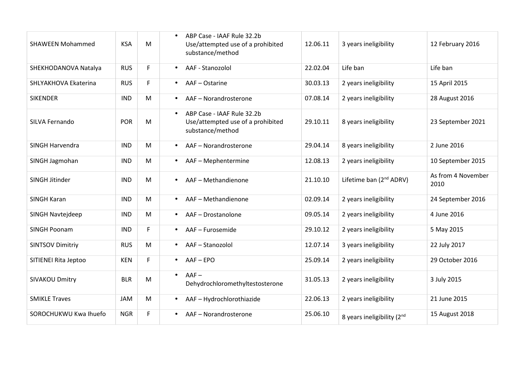|                         |            |    | ABP Case - IAAF Rule 32.2b                                                                       |          |                                     |                            |
|-------------------------|------------|----|--------------------------------------------------------------------------------------------------|----------|-------------------------------------|----------------------------|
| <b>SHAWEEN Mohammed</b> | <b>KSA</b> | M  | Use/attempted use of a prohibited<br>substance/method                                            | 12.06.11 | 3 years ineligibility               | 12 February 2016           |
| SHEKHODANOVA Natalya    | <b>RUS</b> | F. | AAF - Stanozolol<br>$\bullet$                                                                    | 22.02.04 | Life ban                            | Life ban                   |
| SHLYAKHOVA Ekaterina    | <b>RUS</b> | F. | AAF - Ostarine<br>$\bullet$                                                                      | 30.03.13 | 2 years ineligibility               | 15 April 2015              |
| <b>SIKENDER</b>         | <b>IND</b> | M  | AAF - Norandrosterone<br>$\bullet$                                                               | 07.08.14 | 2 years ineligibility               | 28 August 2016             |
| SILVA Fernando          | <b>POR</b> | M  | ABP Case - IAAF Rule 32.2b<br>$\bullet$<br>Use/attempted use of a prohibited<br>substance/method | 29.10.11 | 8 years ineligibility               | 23 September 2021          |
| SINGH Harvendra         | <b>IND</b> | M  | AAF - Norandrosterone                                                                            | 29.04.14 | 8 years ineligibility               | 2 June 2016                |
| SINGH Jagmohan          | <b>IND</b> | M  | AAF - Mephentermine<br>$\bullet$                                                                 | 12.08.13 | 2 years ineligibility               | 10 September 2015          |
| SINGH Jitinder          | <b>IND</b> | M  | AAF - Methandienone<br>$\bullet$                                                                 | 21.10.10 | Lifetime ban (2 <sup>nd</sup> ADRV) | As from 4 November<br>2010 |
| <b>SINGH Karan</b>      | <b>IND</b> | M  | AAF - Methandienone<br>$\bullet$                                                                 | 02.09.14 | 2 years ineligibility               | 24 September 2016          |
| SINGH Navtejdeep        | <b>IND</b> | M  | AAF - Drostanolone<br>$\bullet$                                                                  | 09.05.14 | 2 years ineligibility               | 4 June 2016                |
| <b>SINGH Poonam</b>     | <b>IND</b> | F  | AAF - Furosemide<br>$\bullet$                                                                    | 29.10.12 | 2 years ineligibility               | 5 May 2015                 |
| <b>SINTSOV Dimitriy</b> | <b>RUS</b> | M  | AAF-Stanozolol<br>$\bullet$                                                                      | 12.07.14 | 3 years ineligibility               | 22 July 2017               |
| SITIENEI Rita Jeptoo    | <b>KEN</b> | F. | AAF-EPO<br>$\bullet$                                                                             | 25.09.14 | 2 years ineligibility               | 29 October 2016            |
| <b>SIVAKOU Dmitry</b>   | <b>BLR</b> | M  | $AAF -$<br>$\bullet$<br>Dehydrochloromethyltestosterone                                          | 31.05.13 | 2 years ineligibility               | 3 July 2015                |
| <b>SMIKLE Traves</b>    | <b>JAM</b> | M  | AAF-Hydrochlorothiazide<br>$\bullet$                                                             | 22.06.13 | 2 years ineligibility               | 21 June 2015               |
| SOROCHUKWU Kwa Ihuefo   | <b>NGR</b> | F  | AAF - Norandrosterone                                                                            | 25.06.10 | 8 years ineligibility (2nd          | 15 August 2018             |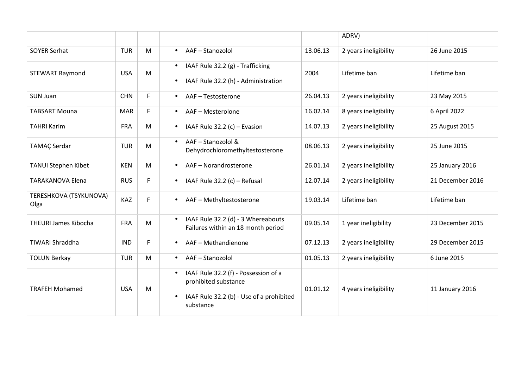|                                |            |    |                                                                                                                                                 |          | ADRV)                 |                  |
|--------------------------------|------------|----|-------------------------------------------------------------------------------------------------------------------------------------------------|----------|-----------------------|------------------|
| <b>SOYER Serhat</b>            | <b>TUR</b> | M  | AAF-Stanozolol<br>$\bullet$                                                                                                                     | 13.06.13 | 2 years ineligibility | 26 June 2015     |
| <b>STEWART Raymond</b>         | <b>USA</b> | M  | IAAF Rule 32.2 (g) - Trafficking<br>$\bullet$<br>IAAF Rule 32.2 (h) - Administration<br>$\bullet$                                               | 2004     | Lifetime ban          | Lifetime ban     |
| <b>SUN Juan</b>                | <b>CHN</b> | F  | AAF-Testosterone<br>$\bullet$                                                                                                                   | 26.04.13 | 2 years ineligibility | 23 May 2015      |
| <b>TABSART Mouna</b>           | <b>MAR</b> | F. | AAF - Mesterolone<br>$\bullet$                                                                                                                  | 16.02.14 | 8 years ineligibility | 6 April 2022     |
| <b>TAHRI Karim</b>             | <b>FRA</b> | M  | IAAF Rule $32.2$ (c) – Evasion<br>$\bullet$                                                                                                     | 14.07.13 | 2 years ineligibility | 25 August 2015   |
| <b>TAMAÇ Serdar</b>            | <b>TUR</b> | M  | AAF - Stanozolol &<br>$\bullet$<br>Dehydrochloromethyltestosterone                                                                              | 08.06.13 | 2 years ineligibility | 25 June 2015     |
| <b>TANUI Stephen Kibet</b>     | <b>KEN</b> | M  | AAF - Norandrosterone<br>$\bullet$                                                                                                              | 26.01.14 | 2 years ineligibility | 25 January 2016  |
| <b>TARAKANOVA Elena</b>        | <b>RUS</b> | F. | IAAF Rule 32.2 (c) - Refusal<br>$\bullet$                                                                                                       | 12.07.14 | 2 years ineligibility | 21 December 2016 |
| TERESHKOVA (TSYKUNOVA)<br>Olga | KAZ        | F. | AAF - Methyltestosterone<br>$\bullet$                                                                                                           | 19.03.14 | Lifetime ban          | Lifetime ban     |
| <b>THEURI James Kibocha</b>    | <b>FRA</b> | M  | IAAF Rule 32.2 (d) - 3 Whereabouts<br>$\bullet$<br>Failures within an 18 month period                                                           | 09.05.14 | 1 year ineligibility  | 23 December 2015 |
| <b>TIWARI Shraddha</b>         | <b>IND</b> | F. | AAF - Methandienone<br>$\bullet$                                                                                                                | 07.12.13 | 2 years ineligibility | 29 December 2015 |
| <b>TOLUN Berkay</b>            | <b>TUR</b> | M  | AAF-Stanozolol<br>$\bullet$                                                                                                                     | 01.05.13 | 2 years ineligibility | 6 June 2015      |
| <b>TRAFEH Mohamed</b>          | <b>USA</b> | M  | IAAF Rule 32.2 (f) - Possession of a<br>$\bullet$<br>prohibited substance<br>IAAF Rule 32.2 (b) - Use of a prohibited<br>$\bullet$<br>substance | 01.01.12 | 4 years ineligibility | 11 January 2016  |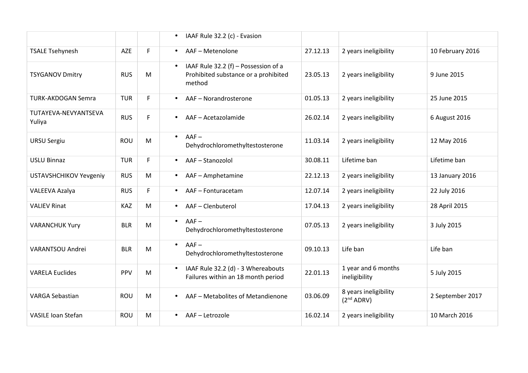|                                |            |           | $\bullet$ | IAAF Rule 32.2 (c) - Evasion                                                           |          |                                                 |                  |
|--------------------------------|------------|-----------|-----------|----------------------------------------------------------------------------------------|----------|-------------------------------------------------|------------------|
| <b>TSALE Tsehynesh</b>         | AZE        | F.        | $\bullet$ | AAF - Metenolone                                                                       | 27.12.13 | 2 years ineligibility                           | 10 February 2016 |
| <b>TSYGANOV Dmitry</b>         | <b>RUS</b> | M         | $\bullet$ | IAAF Rule 32.2 (f) - Possession of a<br>Prohibited substance or a prohibited<br>method | 23.05.13 | 2 years ineligibility                           | 9 June 2015      |
| <b>TURK-AKDOGAN Semra</b>      | <b>TUR</b> | F.        |           | AAF-Norandrosterone                                                                    | 01.05.13 | 2 years ineligibility                           | 25 June 2015     |
| TUTAYEVA-NEVYANTSEVA<br>Yuliya | <b>RUS</b> | F.        | $\bullet$ | AAF - Acetazolamide                                                                    | 26.02.14 | 2 years ineligibility                           | 6 August 2016    |
| <b>URSU Sergiu</b>             | <b>ROU</b> | M         | $\bullet$ | $AAF -$<br>Dehydrochloromethyltestosterone                                             | 11.03.14 | 2 years ineligibility                           | 12 May 2016      |
| <b>USLU Binnaz</b>             | <b>TUR</b> | F.        | $\bullet$ | AAF-Stanozolol                                                                         | 30.08.11 | Lifetime ban                                    | Lifetime ban     |
| <b>USTAVSHCHIKOV Yevgeniy</b>  | <b>RUS</b> | M         | $\bullet$ | AAF - Amphetamine                                                                      | 22.12.13 | 2 years ineligibility                           | 13 January 2016  |
| VALEEVA Azalya                 | <b>RUS</b> | F.        | $\bullet$ | AAF - Fonturacetam                                                                     | 12.07.14 | 2 years ineligibility                           | 22 July 2016     |
| <b>VALIEV Rinat</b>            | KAZ        | M         | $\bullet$ | AAF-Clenbuterol                                                                        | 17.04.13 | 2 years ineligibility                           | 28 April 2015    |
| <b>VARANCHUK Yury</b>          | <b>BLR</b> | M         | $\bullet$ | $AAF -$<br>Dehydrochloromethyltestosterone                                             | 07.05.13 | 2 years ineligibility                           | 3 July 2015      |
| VARANTSOU Andrei               | <b>BLR</b> | M         | $\bullet$ | $AAF -$<br>Dehydrochloromethyltestosterone                                             | 09.10.13 | Life ban                                        | Life ban         |
| <b>VARELA Euclides</b>         | PPV        | ${\sf M}$ | $\bullet$ | IAAF Rule 32.2 (d) - 3 Whereabouts<br>Failures within an 18 month period               | 22.01.13 | 1 year and 6 months<br>ineligibility            | 5 July 2015      |
| <b>VARGA Sebastian</b>         | <b>ROU</b> | M         | $\bullet$ | AAF - Metabolites of Metandienone                                                      | 03.06.09 | 8 years ineligibility<br>(2 <sup>nd</sup> ADRV) | 2 September 2017 |
| <b>VASILE Ioan Stefan</b>      | <b>ROU</b> | M         | $\bullet$ | AAF-Letrozole                                                                          | 16.02.14 | 2 years ineligibility                           | 10 March 2016    |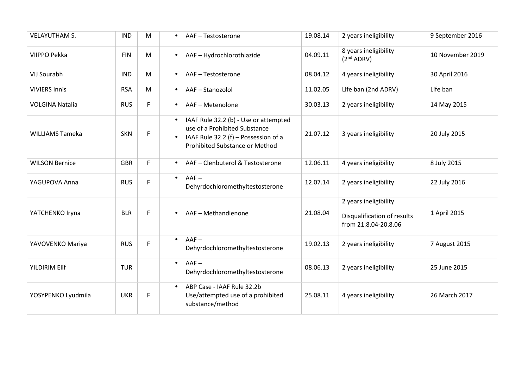| <b>VELAYUTHAM S.</b>   | <b>IND</b> | M  | AAF - Testosterone<br>$\bullet$                                                                                                                               | 19.08.14 | 2 years ineligibility                                                        | 9 September 2016 |
|------------------------|------------|----|---------------------------------------------------------------------------------------------------------------------------------------------------------------|----------|------------------------------------------------------------------------------|------------------|
| VIIPPO Pekka           | <b>FIN</b> | M  | AAF-Hydrochlorothiazide<br>$\bullet$                                                                                                                          | 04.09.11 | 8 years ineligibility<br>(2 <sup>nd</sup> ADRV)                              | 10 November 2019 |
| <b>VIJ Sourabh</b>     | <b>IND</b> | M  | AAF-Testosterone<br>$\bullet$                                                                                                                                 | 08.04.12 | 4 years ineligibility                                                        | 30 April 2016    |
| <b>VIVIERS Innis</b>   | <b>RSA</b> | M  | AAF-Stanozolol<br>$\bullet$                                                                                                                                   | 11.02.05 | Life ban (2nd ADRV)                                                          | Life ban         |
| <b>VOLGINA Natalia</b> | <b>RUS</b> | F  | AAF - Metenolone<br>$\bullet$                                                                                                                                 | 30.03.13 | 2 years ineligibility                                                        | 14 May 2015      |
| <b>WILLIAMS Tameka</b> | <b>SKN</b> | F. | IAAF Rule 32.2 (b) - Use or attempted<br>$\bullet$<br>use of a Prohibited Substance<br>IAAF Rule 32.2 (f) - Possession of a<br>Prohibited Substance or Method | 21.07.12 | 3 years ineligibility                                                        | 20 July 2015     |
| <b>WILSON Bernice</b>  | <b>GBR</b> | F. | AAF - Clenbuterol & Testosterone<br>$\bullet$                                                                                                                 | 12.06.11 | 4 years ineligibility                                                        | 8 July 2015      |
| YAGUPOVA Anna          | <b>RUS</b> | F  | $AAF -$<br>$\bullet$<br>Dehyrdochloromethyltestosterone                                                                                                       | 12.07.14 | 2 years ineligibility                                                        | 22 July 2016     |
| YATCHENKO Iryna        | <b>BLR</b> | F  | AAF-Methandienone                                                                                                                                             | 21.08.04 | 2 years ineligibility<br>Disqualification of results<br>from 21.8.04-20.8.06 | 1 April 2015     |
| YAVOVENKO Mariya       | <b>RUS</b> | F  | $AAF -$<br>$\bullet$<br>Dehyrdochloromethyltestosterone                                                                                                       | 19.02.13 | 2 years ineligibility                                                        | 7 August 2015    |
| <b>YILDIRIM Elif</b>   | <b>TUR</b> |    | $AAF -$<br>$\bullet$<br>Dehyrdochloromethyltestosterone                                                                                                       | 08.06.13 | 2 years ineligibility                                                        | 25 June 2015     |
| YOSYPENKO Lyudmila     | <b>UKR</b> | F  | ABP Case - IAAF Rule 32.2b<br>$\bullet$<br>Use/attempted use of a prohibited<br>substance/method                                                              | 25.08.11 | 4 years ineligibility                                                        | 26 March 2017    |